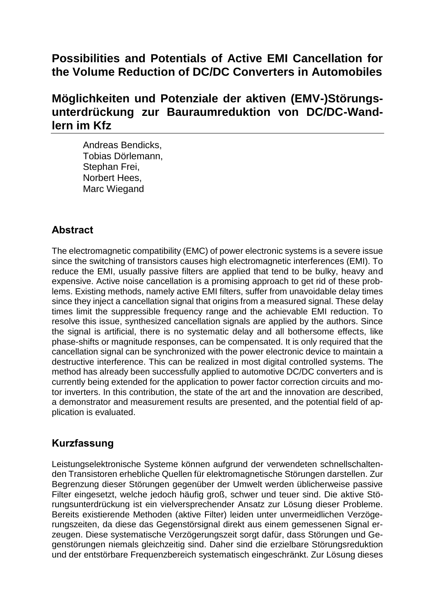# **Possibilities and Potentials of Active EMI Cancellation for the Volume Reduction of DC/DC Converters in Automobiles**

# **Möglichkeiten und Potenziale der aktiven (EMV-)Störungsunterdrückung zur Bauraumreduktion von DC/DC-Wandlern im Kfz**

Andreas Bendicks, Tobias Dörlemann, Stephan Frei, Norbert Hees, Marc Wiegand

## **Abstract**

The electromagnetic compatibility (EMC) of power electronic systems is a severe issue since the switching of transistors causes high electromagnetic interferences (EMI). To reduce the EMI, usually passive filters are applied that tend to be bulky, heavy and expensive. Active noise cancellation is a promising approach to get rid of these problems. Existing methods, namely active EMI filters, suffer from unavoidable delay times since they inject a cancellation signal that origins from a measured signal. These delay times limit the suppressible frequency range and the achievable EMI reduction. To resolve this issue, synthesized cancellation signals are applied by the authors. Since the signal is artificial, there is no systematic delay and all bothersome effects, like phase-shifts or magnitude responses, can be compensated. It is only required that the cancellation signal can be synchronized with the power electronic device to maintain a destructive interference. This can be realized in most digital controlled systems. The method has already been successfully applied to automotive DC/DC converters and is currently being extended for the application to power factor correction circuits and motor inverters. In this contribution, the state of the art and the innovation are described, a demonstrator and measurement results are presented, and the potential field of application is evaluated.

#### **Kurzfassung**

Leistungselektronische Systeme können aufgrund der verwendeten schnellschaltenden Transistoren erhebliche Quellen für elektromagnetische Störungen darstellen. Zur Begrenzung dieser Störungen gegenüber der Umwelt werden üblicherweise passive Filter eingesetzt, welche jedoch häufig groß, schwer und teuer sind. Die aktive Störungsunterdrückung ist ein vielversprechender Ansatz zur Lösung dieser Probleme. Bereits existierende Methoden (aktive Filter) leiden unter unvermeidlichen Verzögerungszeiten, da diese das Gegenstörsignal direkt aus einem gemessenen Signal erzeugen. Diese systematische Verzögerungszeit sorgt dafür, dass Störungen und Gegenstörungen niemals gleichzeitig sind. Daher sind die erzielbare Störungsreduktion und der entstörbare Frequenzbereich systematisch eingeschränkt. Zur Lösung dieses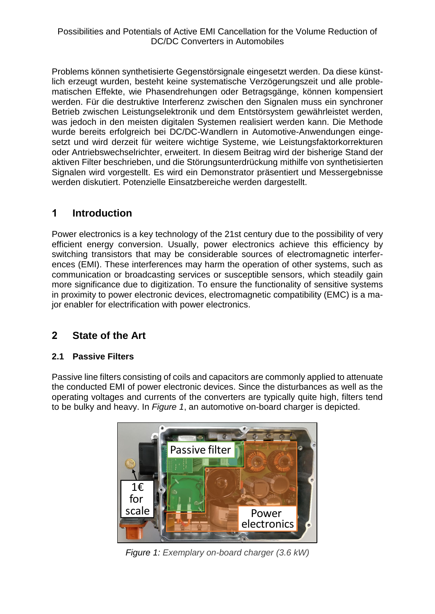Problems können synthetisierte Gegenstörsignale eingesetzt werden. Da diese künstlich erzeugt wurden, besteht keine systematische Verzögerungszeit und alle problematischen Effekte, wie Phasendrehungen oder Betragsgänge, können kompensiert werden. Für die destruktive Interferenz zwischen den Signalen muss ein synchroner Betrieb zwischen Leistungselektronik und dem Entstörsystem gewährleistet werden, was jedoch in den meisten digitalen Systemen realisiert werden kann. Die Methode wurde bereits erfolgreich bei DC/DC-Wandlern in Automotive-Anwendungen eingesetzt und wird derzeit für weitere wichtige Systeme, wie Leistungsfaktorkorrekturen oder Antriebswechselrichter, erweitert. In diesem Beitrag wird der bisherige Stand der aktiven Filter beschrieben, und die Störungsunterdrückung mithilfe von synthetisierten Signalen wird vorgestellt. Es wird ein Demonstrator präsentiert und Messergebnisse werden diskutiert. Potenzielle Einsatzbereiche werden dargestellt.

## **1 Introduction**

Power electronics is a key technology of the 21st century due to the possibility of very efficient energy conversion. Usually, power electronics achieve this efficiency by switching transistors that may be considerable sources of electromagnetic interferences (EMI). These interferences may harm the operation of other systems, such as communication or broadcasting services or susceptible sensors, which steadily gain more significance due to digitization. To ensure the functionality of sensitive systems in proximity to power electronic devices, electromagnetic compatibility (EMC) is a major enabler for electrification with power electronics.

### **2 State of the Art**

#### **2.1 Passive Filters**

Passive line filters consisting of coils and capacitors are commonly applied to attenuate the conducted EMI of power electronic devices. Since the disturbances as well as the operating voltages and currents of the converters are typically quite high, filters tend to be bulky and heavy. In *[Figure 1](#page-1-0)*, an automotive on-board charger is depicted.

<span id="page-1-0"></span>

*Figure 1: Exemplary on-board charger (3.6 kW)*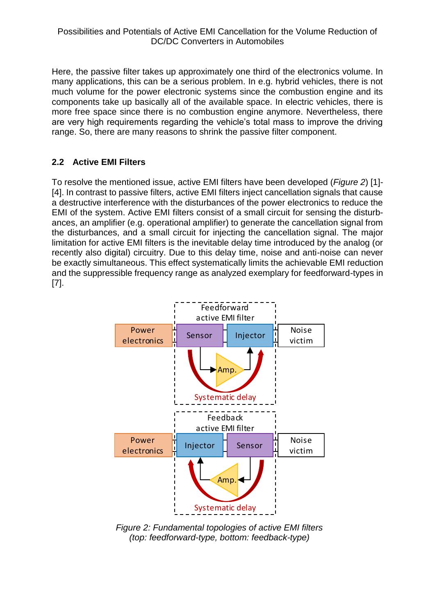Here, the passive filter takes up approximately one third of the electronics volume. In many applications, this can be a serious problem. In e.g. hybrid vehicles, there is not much volume for the power electronic systems since the combustion engine and its components take up basically all of the available space. In electric vehicles, there is more free space since there is no combustion engine anymore. Nevertheless, there are very high requirements regarding the vehicle's total mass to improve the driving range. So, there are many reasons to shrink the passive filter component.

#### **2.2 Active EMI Filters**

To resolve the mentioned issue, active EMI filters have been developed (*[Figure 2](#page-2-0)*) [1]- [4]. In contrast to passive filters, active EMI filters inject cancellation signals that cause a destructive interference with the disturbances of the power electronics to reduce the EMI of the system. Active EMI filters consist of a small circuit for sensing the disturbances, an amplifier (e.g. operational amplifier) to generate the cancellation signal from the disturbances, and a small circuit for injecting the cancellation signal. The major limitation for active EMI filters is the inevitable delay time introduced by the analog (or recently also digital) circuitry. Due to this delay time, noise and anti-noise can never be exactly simultaneous. This effect systematically limits the achievable EMI reduction and the suppressible frequency range as analyzed exemplary for feedforward-types in [7].



<span id="page-2-0"></span>*Figure 2: Fundamental topologies of active EMI filters (top: feedforward-type, bottom: feedback-type)*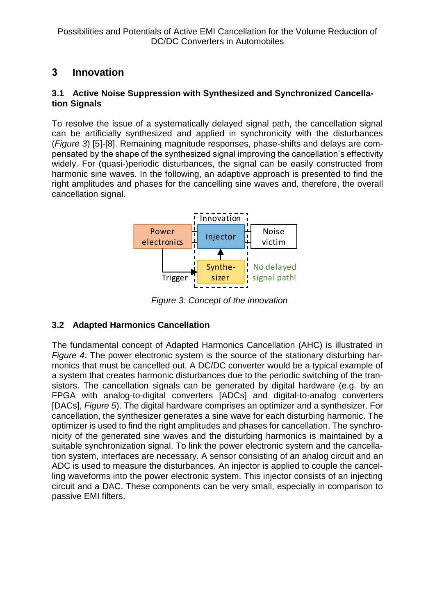### **3 Innovation**

#### **3.1 Active Noise Suppression with Synthesized and Synchronized Cancellation Signals**

To resolve the issue of a systematically delayed signal path, the cancellation signal can be artificially synthesized and applied in synchronicity with the disturbances (*[Figure 3](#page-3-0)*) [5]-[8]. Remaining magnitude responses, phase-shifts and delays are compensated by the shape of the synthesized signal improving the cancellation's effectivity widely. For (quasi-)periodic disturbances, the signal can be easily constructed from harmonic sine waves. In the following, an adaptive approach is presented to find the right amplitudes and phases for the cancelling sine waves and, therefore, the overall cancellation signal.



*Figure 3: Concept of the innovation*

#### <span id="page-3-0"></span>**3.2 Adapted Harmonics Cancellation**

The fundamental concept of Adapted Harmonics Cancellation (AHC) is illustrated in *[Figure 4](#page-4-0)*. The power electronic system is the source of the stationary disturbing harmonics that must be cancelled out. A DC/DC converter would be a typical example of a system that creates harmonic disturbances due to the periodic switching of the transistors. The cancellation signals can be generated by digital hardware (e.g. by an FPGA with analog-to-digital converters [ADCs] and digital-to-analog converters [DACs], *[Figure 5](#page-4-1)*). The digital hardware comprises an optimizer and a synthesizer. For cancellation, the synthesizer generates a sine wave for each disturbing harmonic. The optimizer is used to find the right amplitudes and phases for cancellation. The synchronicity of the generated sine waves and the disturbing harmonics is maintained by a suitable synchronization signal. To link the power electronic system and the cancellation system, interfaces are necessary. A sensor consisting of an analog circuit and an ADC is used to measure the disturbances. An injector is applied to couple the cancelling waveforms into the power electronic system. This injector consists of an injecting circuit and a DAC. These components can be very small, especially in comparison to passive EMI filters.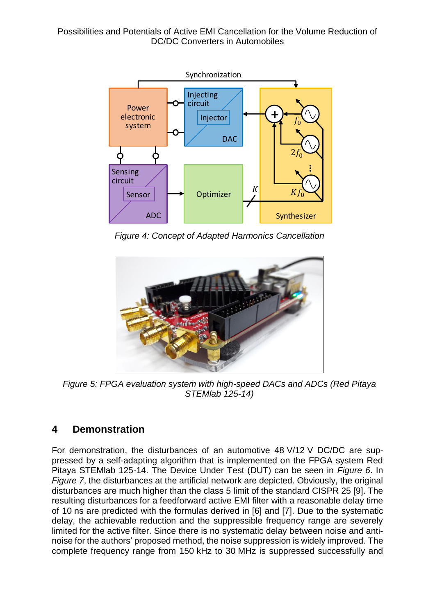Possibilities and Potentials of Active EMI Cancellation for the Volume Reduction of DC/DC Converters in Automobiles



*Figure 4: Concept of Adapted Harmonics Cancellation*

<span id="page-4-0"></span>

*Figure 5: FPGA evaluation system with high-speed DACs and ADCs (Red Pitaya STEMlab 125-14)*

### <span id="page-4-1"></span>**4 Demonstration**

For demonstration, the disturbances of an automotive 48 V/12 V DC/DC are suppressed by a self-adapting algorithm that is implemented on the FPGA system Red Pitaya STEMlab 125-14. The Device Under Test (DUT) can be seen in *[Figure 6](#page-5-0)*. In *[Figure 7](#page-5-1)*, the disturbances at the artificial network are depicted. Obviously, the original disturbances are much higher than the class 5 limit of the standard CISPR 25 [9]. The resulting disturbances for a feedforward active EMI filter with a reasonable delay time of 10 ns are predicted with the formulas derived in [6] and [7]. Due to the systematic delay, the achievable reduction and the suppressible frequency range are severely limited for the active filter. Since there is no systematic delay between noise and antinoise for the authors' proposed method, the noise suppression is widely improved. The complete frequency range from 150 kHz to 30 MHz is suppressed successfully and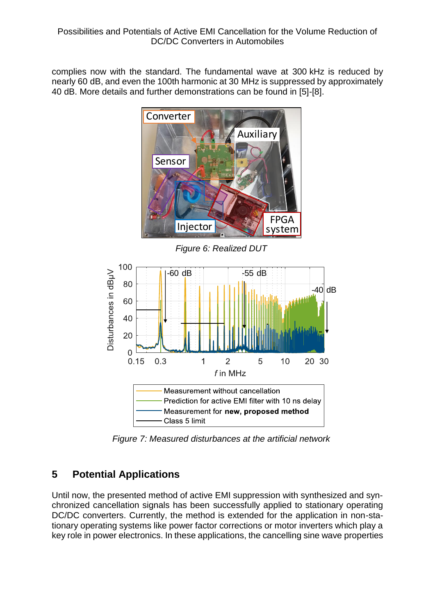complies now with the standard. The fundamental wave at 300 kHz is reduced by nearly 60 dB, and even the 100th harmonic at 30 MHz is suppressed by approximately 40 dB. More details and further demonstrations can be found in [5]-[8].



*Figure 6: Realized DUT*

<span id="page-5-0"></span>

*Figure 7: Measured disturbances at the artificial network*

### <span id="page-5-1"></span>**5 Potential Applications**

Until now, the presented method of active EMI suppression with synthesized and synchronized cancellation signals has been successfully applied to stationary operating DC/DC converters. Currently, the method is extended for the application in non-stationary operating systems like power factor corrections or motor inverters which play a key role in power electronics. In these applications, the cancelling sine wave properties